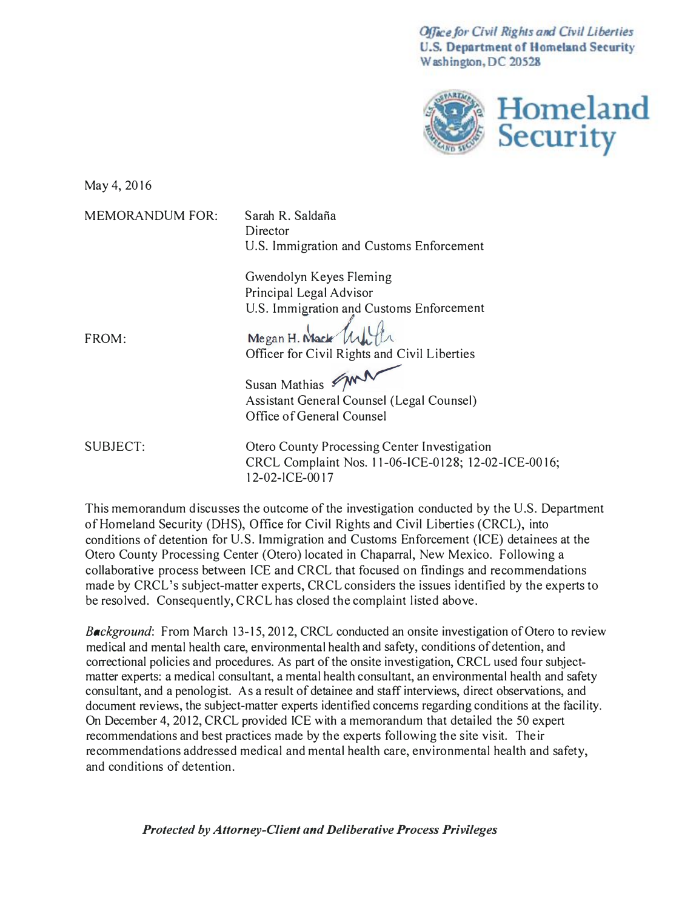Office for Civil Rights and Civil Liberties **U.S. Department of Homeland Security** Washington, DC 20528



May 4, 2016

MEMORANDUM FOR: Sarah R. Saldaña **Director** U.S. Immigration and Customs Enforcement

> Gwendolyn Keyes Fleming Principal Legal Advisor U.S. Immigration and Customs Enforcement

FROM:

Megan H. Macle Officer for Civil Rights and Civil Liberties

Susan Mathias AM Assistant General Counsel (Legal Counsel) Office of General Counsel

SUBJECT: Otero County Processing Center Investigation CRCL Complaint Nos. 11-06-ICE-0128; 12-02-ICE-0016; 12-02-lCE-OO 17

This memorandum discusses the outcome of the investigation conducted by the U.S. Department of Homeland Security (DHS), Office for Civil Rights and Civil Liberties (CRCL), into conditions of detention for U.S. Immigration and Customs Enforcement (ICE) detainees at the Otero County Processing Center (Otero) located in Chaparral, New Mexico. Following a collaborative process between ICE and CRCL that focused on findings and recommendations made by CRCL's subject-matter experts, CRCL considers the issues identified by the experts to be resolved. Consequently, CRCL has closed the complaint listed above.

*Background:* From March 13-15, 2012, CRCL conducted an onsite investigation of Otero to review medical and mental health care, environmental health and safety, conditions of detention, and correctional policies and procedures. As part of the onsite investigation, CRCL used four subjectmatter experts: a medical consultant, a mental health consultant, an environmental health and safety consultant, and a penologist. As a result of detainee and staff interviews, direct observations, and document reviews, the subject-matter experts identified concerns regarding conditions at the facility. On December 4, 2012, CRCL provided ICE with a memorandum that detailed the 50 expert recommendations and best practices made by the experts following the site visit. Their recommendations addressed medical and mental health care, environmental health and safety, and conditions of detention.

*Protected by Attorney-Client and Deliberative Process Privileges*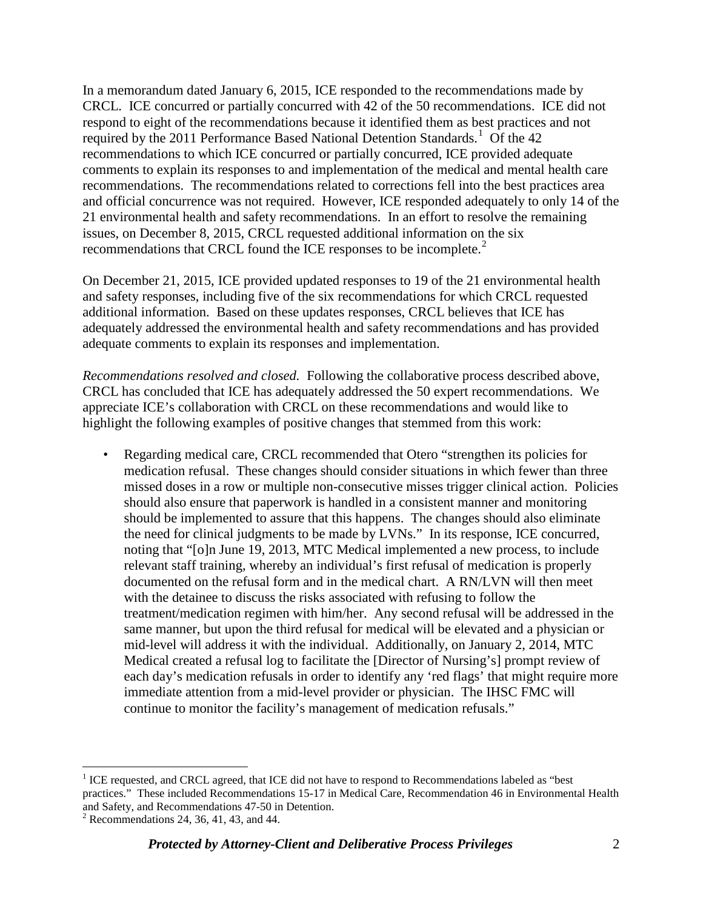In a memorandum dated January 6, 2015, ICE responded to the recommendations made by CRCL. ICE concurred or partially concurred with 42 of the 50 recommendations. ICE did not respond to eight of the recommendations because it identified them as best practices and not required by the 2011 Performance Based National Detention Standards.<sup>1</sup> Of the 42 recommendations to which ICE concurred or partially concurred, ICE provided adequate comments to explain its responses to and implementation of the medical and mental health care recommendations. The recommendations related to corrections fell into the best practices area and official concurrence was not required. However, ICE responded adequately to only 14 of the 21 environmental health and safety recommendations. In an effort to resolve the remaining issues, on December 8, 2015, CRCL requested additional information on the six recommendations that CRCL found the ICE responses to be incomplete.<sup>2</sup>

On December 21, 2015, ICE provided updated responses to 19 of the 21 environmental health and safety responses, including five of the six recommendations for which CRCL requested additional information. Based on these updates responses, CRCL believes that ICE has adequately addressed the environmental health and safety recommendations and has provided adequate comments to explain its responses and implementation.

*Recommendations resolved and closed.* Following the collaborative process described above, CRCL has concluded that ICE has adequately addressed the 50 expert recommendations. We appreciate ICE's collaboration with CRCL on these recommendations and would like to highlight the following examples of positive changes that stemmed from this work:

• Regarding medical care, CRCL recommended that Otero "strengthen its policies for medication refusal. These changes should consider situations in which fewer than three missed doses in a row or multiple non-consecutive misses trigger clinical action. Policies should also ensure that paperwork is handled in a consistent manner and monitoring should be implemented to assure that this happens. The changes should also eliminate the need for clinical judgments to be made by LVNs." In its response, ICE concurred, noting that "[o]n June 19, 2013, MTC Medical implemented a new process, to include relevant staff training, whereby an individual's first refusal of medication is properly documented on the refusal form and in the medical chart. A RN/LVN will then meet with the detainee to discuss the risks associated with refusing to follow the treatment/medication regimen with him/her. Any second refusal will be addressed in the same manner, but upon the third refusal for medical will be elevated and a physician or mid-level will address it with the individual. Additionally, on January 2, 2014, MTC Medical created a refusal log to facilitate the [Director of Nursing's] prompt review of each day's medication refusals in order to identify any 'red flags' that might require more immediate attention from a mid-level provider or physician. The IHSC FMC will continue to monitor the facility's management of medication refusals."

 $<sup>1</sup>$  ICE requested, and CRCL agreed, that ICE did not have to respond to Recommendations labeled as "best"</sup> practices." These included Recommendations 15-17 in Medical Care, Recommendation 46 in Environmental Health and Safety, and Recommendations 47-50 in Detention. 2 Recommendations 24, 36, 41, 43, and 44.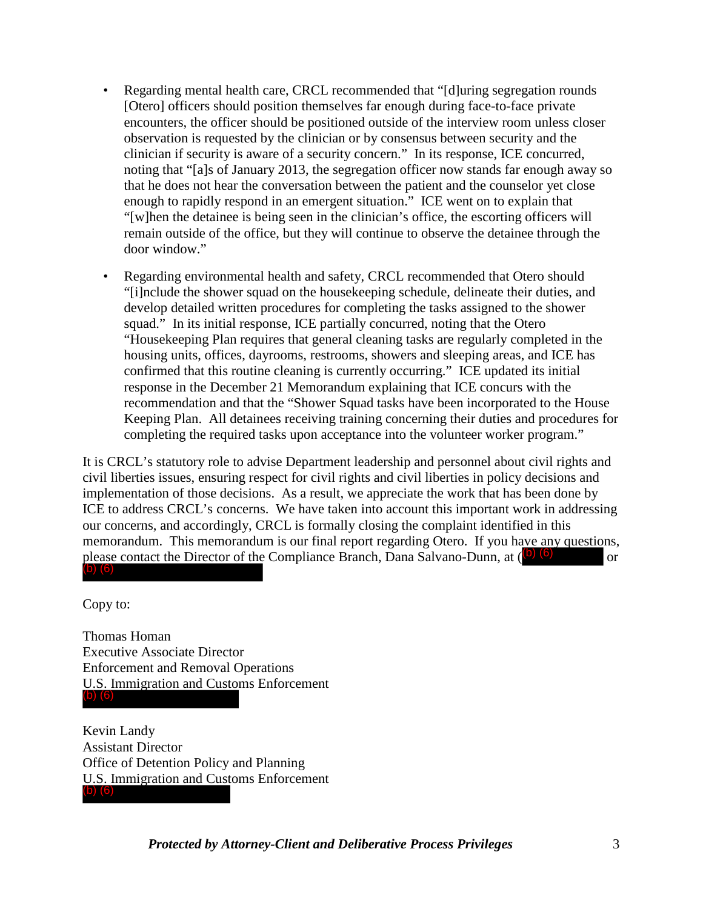- Regarding mental health care, CRCL recommended that "[d]uring segregation rounds [Otero] officers should position themselves far enough during face-to-face private encounters, the officer should be positioned outside of the interview room unless closer observation is requested by the clinician or by consensus between security and the clinician if security is aware of a security concern." In its response, ICE concurred, noting that "[a]s of January 2013, the segregation officer now stands far enough away so that he does not hear the conversation between the patient and the counselor yet close enough to rapidly respond in an emergent situation." ICE went on to explain that "[w]hen the detainee is being seen in the clinician's office, the escorting officers will remain outside of the office, but they will continue to observe the detainee through the door window."
- Regarding environmental health and safety, CRCL recommended that Otero should "[i]nclude the shower squad on the housekeeping schedule, delineate their duties, and develop detailed written procedures for completing the tasks assigned to the shower squad." In its initial response, ICE partially concurred, noting that the Otero "Housekeeping Plan requires that general cleaning tasks are regularly completed in the housing units, offices, dayrooms, restrooms, showers and sleeping areas, and ICE has confirmed that this routine cleaning is currently occurring." ICE updated its initial response in the December 21 Memorandum explaining that ICE concurs with the recommendation and that the "Shower Squad tasks have been incorporated to the House Keeping Plan. All detainees receiving training concerning their duties and procedures for completing the required tasks upon acceptance into the volunteer worker program."

It is CRCL's statutory role to advise Department leadership and personnel about civil rights and civil liberties issues, ensuring respect for civil rights and civil liberties in policy decisions and implementation of those decisions. As a result, we appreciate the work that has been done by ICE to address CRCL's concerns. We have taken into account this important work in addressing our concerns, and accordingly, CRCL is formally closing the complaint identified in this memorandum. This memorandum is our final report regarding Otero. If you have any questions, please contact the Director of the Compliance Branch, Dana Salvano-Dunn, at  $(\bullet)$  (6) or (b) (6)

Copy to:

Thomas Homan Executive Associate Director Enforcement and Removal Operations U.S. Immigration and Customs Enforcement (b) (6)

Kevin Landy Assistant Director Office of Detention Policy and Planning U.S. Immigration and Customs Enforcement (b) (6)

*Protected by Attorney-Client and Deliberative Process Privileges* 3